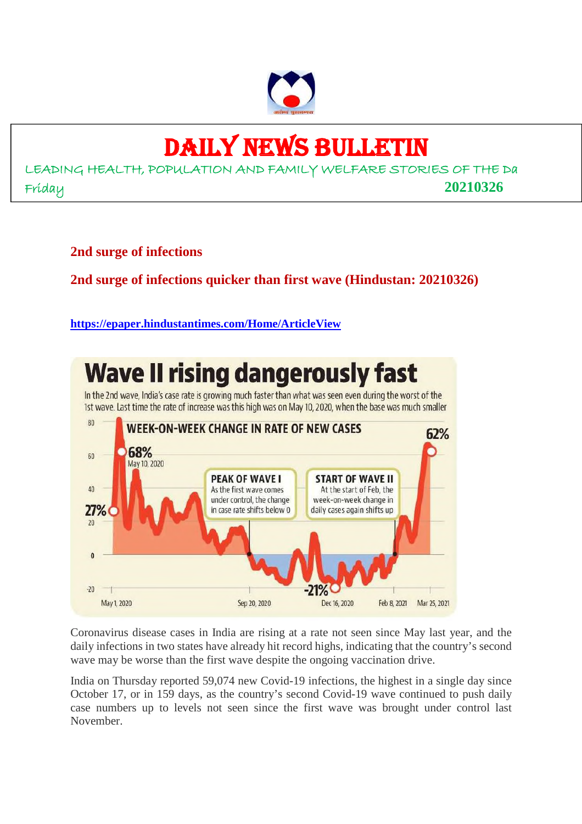

## DAILY NEWS BULLETIN

LEADING HEALTH, POPULATION AND FAMILY WELFARE STORIES OF THE Da Friday **20210326**

**2nd surge of infections**

#### **2nd surge of infections quicker than first wave (Hindustan: 20210326)**

#### **https://epaper.hindustantimes.com/Home/ArticleView**



Coronavirus disease cases in India are rising at a rate not seen since May last year, and the daily infections in two states have already hit record highs, indicating that the country's second wave may be worse than the first wave despite the ongoing vaccination drive.

India on Thursday reported 59,074 new Covid-19 infections, the highest in a single day since October 17, or in 159 days, as the country's second Covid-19 wave continued to push daily case numbers up to levels not seen since the first wave was brought under control last November.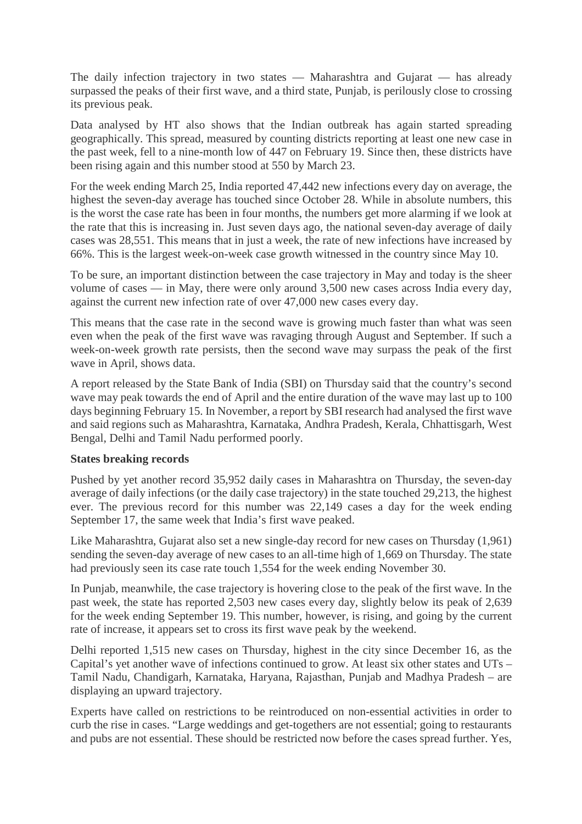The daily infection trajectory in two states — Maharashtra and Gujarat — has already surpassed the peaks of their first wave, and a third state, Punjab, is perilously close to crossing its previous peak.

Data analysed by HT also shows that the Indian outbreak has again started spreading geographically. This spread, measured by counting districts reporting at least one new case in the past week, fell to a nine-month low of 447 on February 19. Since then, these districts have been rising again and this number stood at 550 by March 23.

For the week ending March 25, India reported 47,442 new infections every day on average, the highest the seven-day average has touched since October 28. While in absolute numbers, this is the worst the case rate has been in four months, the numbers get more alarming if we look at the rate that this is increasing in. Just seven days ago, the national seven-day average of daily cases was 28,551. This means that in just a week, the rate of new infections have increased by 66%. This is the largest week-on-week case growth witnessed in the country since May 10.

To be sure, an important distinction between the case trajectory in May and today is the sheer volume of cases — in May, there were only around 3,500 new cases across India every day, against the current new infection rate of over 47,000 new cases every day.

This means that the case rate in the second wave is growing much faster than what was seen even when the peak of the first wave was ravaging through August and September. If such a week-on-week growth rate persists, then the second wave may surpass the peak of the first wave in April, shows data.

A report released by the State Bank of India (SBI) on Thursday said that the country's second wave may peak towards the end of April and the entire duration of the wave may last up to 100 days beginning February 15. In November, a report by SBI research had analysed the first wave and said regions such as Maharashtra, Karnataka, Andhra Pradesh, Kerala, Chhattisgarh, West Bengal, Delhi and Tamil Nadu performed poorly.

#### **States breaking records**

Pushed by yet another record 35,952 daily cases in Maharashtra on Thursday, the seven-day average of daily infections (or the daily case trajectory) in the state touched 29,213, the highest ever. The previous record for this number was 22,149 cases a day for the week ending September 17, the same week that India's first wave peaked.

Like Maharashtra, Gujarat also set a new single-day record for new cases on Thursday (1,961) sending the seven-day average of new cases to an all-time high of 1,669 on Thursday. The state had previously seen its case rate touch 1,554 for the week ending November 30.

In Punjab, meanwhile, the case trajectory is hovering close to the peak of the first wave. In the past week, the state has reported 2,503 new cases every day, slightly below its peak of 2,639 for the week ending September 19. This number, however, is rising, and going by the current rate of increase, it appears set to cross its first wave peak by the weekend.

Delhi reported 1,515 new cases on Thursday, highest in the city since December 16, as the Capital's yet another wave of infections continued to grow. At least six other states and UTs – Tamil Nadu, Chandigarh, Karnataka, Haryana, Rajasthan, Punjab and Madhya Pradesh – are displaying an upward trajectory.

Experts have called on restrictions to be reintroduced on non-essential activities in order to curb the rise in cases. "Large weddings and get-togethers are not essential; going to restaurants and pubs are not essential. These should be restricted now before the cases spread further. Yes,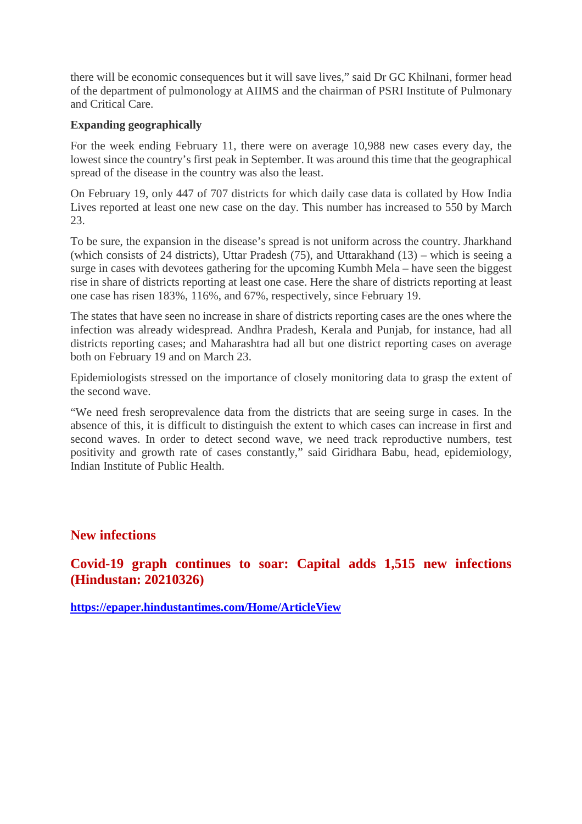there will be economic consequences but it will save lives," said Dr GC Khilnani, former head of the department of pulmonology at AIIMS and the chairman of PSRI Institute of Pulmonary and Critical Care.

#### **Expanding geographically**

For the week ending February 11, there were on average 10,988 new cases every day, the lowest since the country's first peak in September. It was around this time that the geographical spread of the disease in the country was also the least.

On February 19, only 447 of 707 districts for which daily case data is collated by How India Lives reported at least one new case on the day. This number has increased to 550 by March 23.

To be sure, the expansion in the disease's spread is not uniform across the country. Jharkhand (which consists of 24 districts), Uttar Pradesh (75), and Uttarakhand (13) – which is seeing a surge in cases with devotees gathering for the upcoming Kumbh Mela – have seen the biggest rise in share of districts reporting at least one case. Here the share of districts reporting at least one case has risen 183%, 116%, and 67%, respectively, since February 19.

The states that have seen no increase in share of districts reporting cases are the ones where the infection was already widespread. Andhra Pradesh, Kerala and Punjab, for instance, had all districts reporting cases; and Maharashtra had all but one district reporting cases on average both on February 19 and on March 23.

Epidemiologists stressed on the importance of closely monitoring data to grasp the extent of the second wave.

"We need fresh seroprevalence data from the districts that are seeing surge in cases. In the absence of this, it is difficult to distinguish the extent to which cases can increase in first and second waves. In order to detect second wave, we need track reproductive numbers, test positivity and growth rate of cases constantly," said Giridhara Babu, head, epidemiology, Indian Institute of Public Health.

#### **New infections**

**Covid-19 graph continues to soar: Capital adds 1,515 new infections (Hindustan: 20210326)**

**https://epaper.hindustantimes.com/Home/ArticleView**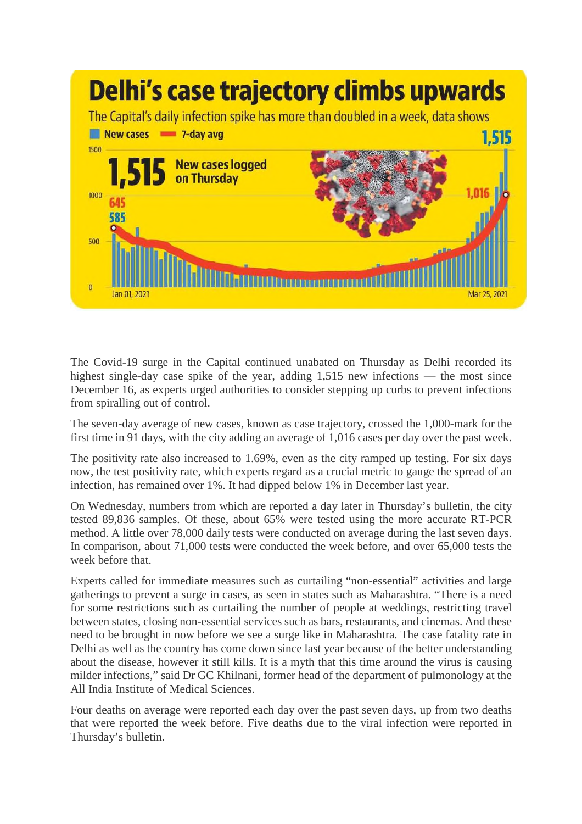

The Covid-19 surge in the Capital continued unabated on Thursday as Delhi recorded its highest single-day case spike of the year, adding 1,515 new infections — the most since December 16, as experts urged authorities to consider stepping up curbs to prevent infections from spiralling out of control.

The seven-day average of new cases, known as case trajectory, crossed the 1,000-mark for the first time in 91 days, with the city adding an average of 1,016 cases per day over the past week.

The positivity rate also increased to 1.69%, even as the city ramped up testing. For six days now, the test positivity rate, which experts regard as a crucial metric to gauge the spread of an infection, has remained over 1%. It had dipped below 1% in December last year.

On Wednesday, numbers from which are reported a day later in Thursday's bulletin, the city tested 89,836 samples. Of these, about 65% were tested using the more accurate RT-PCR method. A little over 78,000 daily tests were conducted on average during the last seven days. In comparison, about 71,000 tests were conducted the week before, and over 65,000 tests the week before that.

Experts called for immediate measures such as curtailing "non-essential" activities and large gatherings to prevent a surge in cases, as seen in states such as Maharashtra. "There is a need for some restrictions such as curtailing the number of people at weddings, restricting travel between states, closing non-essential services such as bars, restaurants, and cinemas. And these need to be brought in now before we see a surge like in Maharashtra. The case fatality rate in Delhi as well as the country has come down since last year because of the better understanding about the disease, however it still kills. It is a myth that this time around the virus is causing milder infections," said Dr GC Khilnani, former head of the department of pulmonology at the All India Institute of Medical Sciences.

Four deaths on average were reported each day over the past seven days, up from two deaths that were reported the week before. Five deaths due to the viral infection were reported in Thursday's bulletin.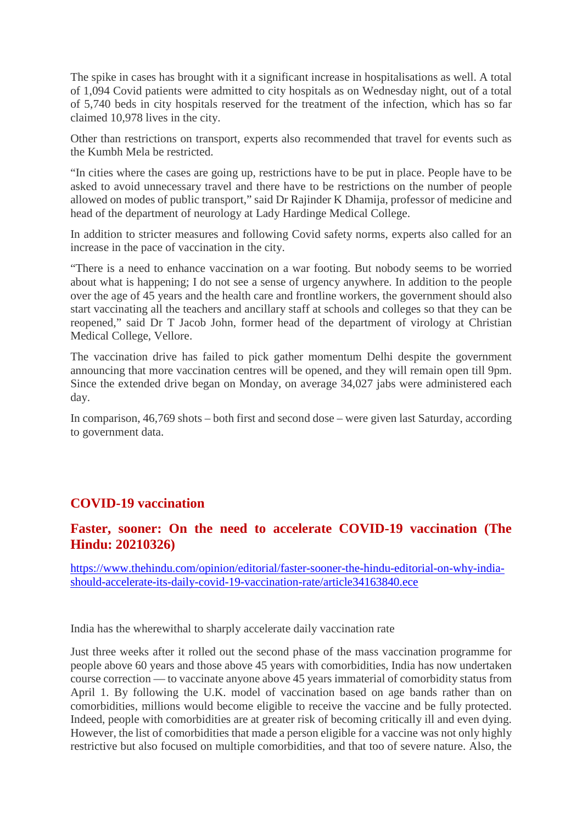The spike in cases has brought with it a significant increase in hospitalisations as well. A total of 1,094 Covid patients were admitted to city hospitals as on Wednesday night, out of a total of 5,740 beds in city hospitals reserved for the treatment of the infection, which has so far claimed 10,978 lives in the city.

Other than restrictions on transport, experts also recommended that travel for events such as the Kumbh Mela be restricted.

"In cities where the cases are going up, restrictions have to be put in place. People have to be asked to avoid unnecessary travel and there have to be restrictions on the number of people allowed on modes of public transport," said Dr Rajinder K Dhamija, professor of medicine and head of the department of neurology at Lady Hardinge Medical College.

In addition to stricter measures and following Covid safety norms, experts also called for an increase in the pace of vaccination in the city.

"There is a need to enhance vaccination on a war footing. But nobody seems to be worried about what is happening; I do not see a sense of urgency anywhere. In addition to the people over the age of 45 years and the health care and frontline workers, the government should also start vaccinating all the teachers and ancillary staff at schools and colleges so that they can be reopened," said Dr T Jacob John, former head of the department of virology at Christian Medical College, Vellore.

The vaccination drive has failed to pick gather momentum Delhi despite the government announcing that more vaccination centres will be opened, and they will remain open till 9pm. Since the extended drive began on Monday, on average 34,027 jabs were administered each day.

In comparison, 46,769 shots – both first and second dose – were given last Saturday, according to government data.

#### **COVID-19 vaccination**

#### **Faster, sooner: On the need to accelerate COVID-19 vaccination (The Hindu: 20210326)**

https://www.thehindu.com/opinion/editorial/faster-sooner-the-hindu-editorial-on-why-indiashould-accelerate-its-daily-covid-19-vaccination-rate/article34163840.ece

India has the wherewithal to sharply accelerate daily vaccination rate

Just three weeks after it rolled out the second phase of the mass vaccination programme for people above 60 years and those above 45 years with comorbidities, India has now undertaken course correction — to vaccinate anyone above 45 years immaterial of comorbidity status from April 1. By following the U.K. model of vaccination based on age bands rather than on comorbidities, millions would become eligible to receive the vaccine and be fully protected. Indeed, people with comorbidities are at greater risk of becoming critically ill and even dying. However, the list of comorbidities that made a person eligible for a vaccine was not only highly restrictive but also focused on multiple comorbidities, and that too of severe nature. Also, the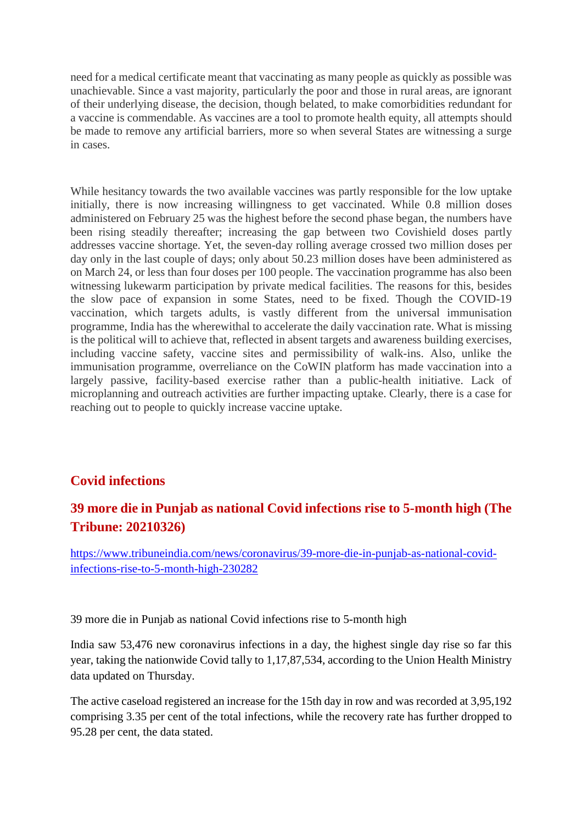need for a medical certificate meant that vaccinating as many people as quickly as possible was unachievable. Since a vast majority, particularly the poor and those in rural areas, are ignorant of their underlying disease, the decision, though belated, to make comorbidities redundant for a vaccine is commendable. As vaccines are a tool to promote health equity, all attempts should be made to remove any artificial barriers, more so when several States are witnessing a surge in cases.

While hesitancy towards the two available vaccines was partly responsible for the low uptake initially, there is now increasing willingness to get vaccinated. While 0.8 million doses administered on February 25 was the highest before the second phase began, the numbers have been rising steadily thereafter; increasing the gap between two Covishield doses partly addresses vaccine shortage. Yet, the seven-day rolling average crossed two million doses per day only in the last couple of days; only about 50.23 million doses have been administered as on March 24, or less than four doses per 100 people. The vaccination programme has also been witnessing lukewarm participation by private medical facilities. The reasons for this, besides the slow pace of expansion in some States, need to be fixed. Though the COVID-19 vaccination, which targets adults, is vastly different from the universal immunisation programme, India has the wherewithal to accelerate the daily vaccination rate. What is missing is the political will to achieve that, reflected in absent targets and awareness building exercises, including vaccine safety, vaccine sites and permissibility of walk-ins. Also, unlike the immunisation programme, overreliance on the CoWIN platform has made vaccination into a largely passive, facility-based exercise rather than a public-health initiative. Lack of microplanning and outreach activities are further impacting uptake. Clearly, there is a case for reaching out to people to quickly increase vaccine uptake.

#### **Covid infections**

#### **39 more die in Punjab as national Covid infections rise to 5-month high (The Tribune: 20210326)**

https://www.tribuneindia.com/news/coronavirus/39-more-die-in-punjab-as-national-covidinfections-rise-to-5-month-high-230282

39 more die in Punjab as national Covid infections rise to 5-month high

India saw 53,476 new coronavirus infections in a day, the highest single day rise so far this year, taking the nationwide Covid tally to 1,17,87,534, according to the Union Health Ministry data updated on Thursday.

The active caseload registered an increase for the 15th day in row and was recorded at 3,95,192 comprising 3.35 per cent of the total infections, while the recovery rate has further dropped to 95.28 per cent, the data stated.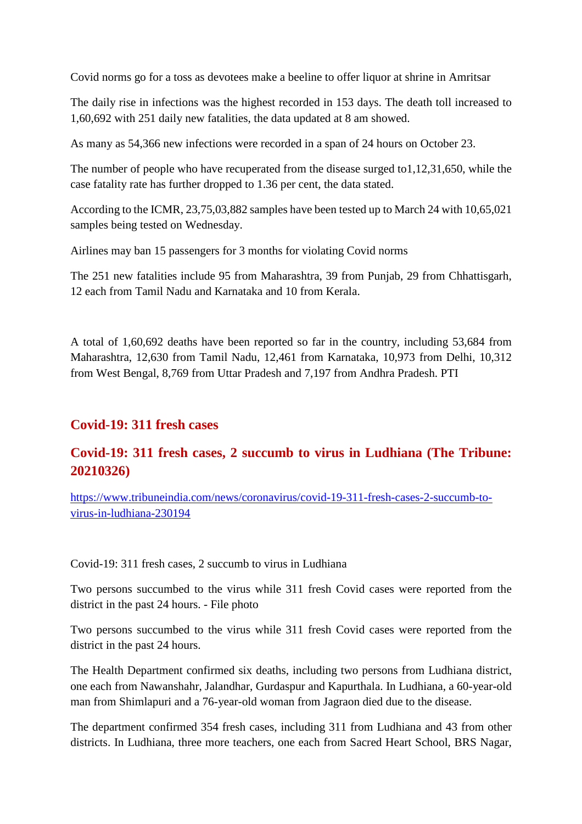Covid norms go for a toss as devotees make a beeline to offer liquor at shrine in Amritsar

The daily rise in infections was the highest recorded in 153 days. The death toll increased to 1,60,692 with 251 daily new fatalities, the data updated at 8 am showed.

As many as 54,366 new infections were recorded in a span of 24 hours on October 23.

The number of people who have recuperated from the disease surged to1,12,31,650, while the case fatality rate has further dropped to 1.36 per cent, the data stated.

According to the ICMR, 23,75,03,882 samples have been tested up to March 24 with 10,65,021 samples being tested on Wednesday.

Airlines may ban 15 passengers for 3 months for violating Covid norms

The 251 new fatalities include 95 from Maharashtra, 39 from Punjab, 29 from Chhattisgarh, 12 each from Tamil Nadu and Karnataka and 10 from Kerala.

A total of 1,60,692 deaths have been reported so far in the country, including 53,684 from Maharashtra, 12,630 from Tamil Nadu, 12,461 from Karnataka, 10,973 from Delhi, 10,312 from West Bengal, 8,769 from Uttar Pradesh and 7,197 from Andhra Pradesh. PTI

#### **Covid-19: 311 fresh cases**

#### **Covid-19: 311 fresh cases, 2 succumb to virus in Ludhiana (The Tribune: 20210326)**

https://www.tribuneindia.com/news/coronavirus/covid-19-311-fresh-cases-2-succumb-tovirus-in-ludhiana-230194

Covid-19: 311 fresh cases, 2 succumb to virus in Ludhiana

Two persons succumbed to the virus while 311 fresh Covid cases were reported from the district in the past 24 hours. - File photo

Two persons succumbed to the virus while 311 fresh Covid cases were reported from the district in the past 24 hours.

The Health Department confirmed six deaths, including two persons from Ludhiana district, one each from Nawanshahr, Jalandhar, Gurdaspur and Kapurthala. In Ludhiana, a 60-year-old man from Shimlapuri and a 76-year-old woman from Jagraon died due to the disease.

The department confirmed 354 fresh cases, including 311 from Ludhiana and 43 from other districts. In Ludhiana, three more teachers, one each from Sacred Heart School, BRS Nagar,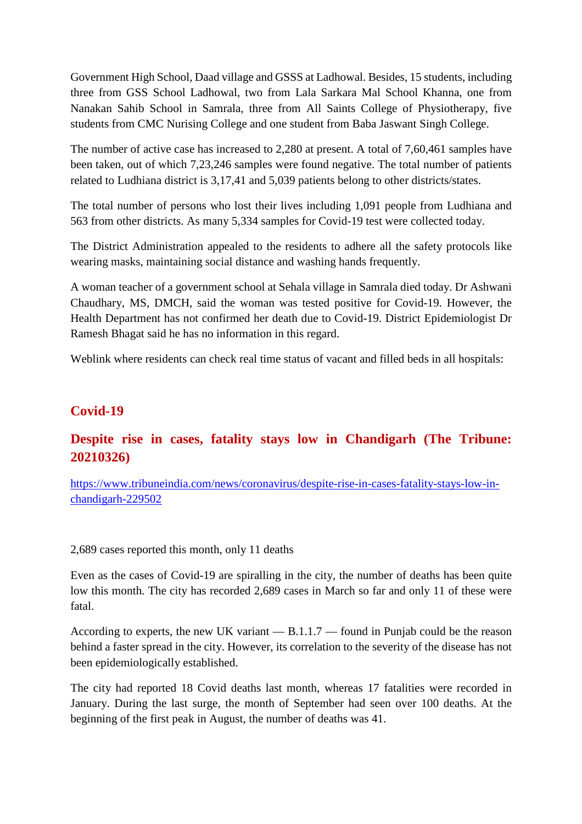Government High School, Daad village and GSSS at Ladhowal. Besides, 15 students, including three from GSS School Ladhowal, two from Lala Sarkara Mal School Khanna, one from Nanakan Sahib School in Samrala, three from All Saints College of Physiotherapy, five students from CMC Nurising College and one student from Baba Jaswant Singh College.

The number of active case has increased to 2,280 at present. A total of 7,60,461 samples have been taken, out of which 7,23,246 samples were found negative. The total number of patients related to Ludhiana district is 3,17,41 and 5,039 patients belong to other districts/states.

The total number of persons who lost their lives including 1,091 people from Ludhiana and 563 from other districts. As many 5,334 samples for Covid-19 test were collected today.

The District Administration appealed to the residents to adhere all the safety protocols like wearing masks, maintaining social distance and washing hands frequently.

A woman teacher of a government school at Sehala village in Samrala died today. Dr Ashwani Chaudhary, MS, DMCH, said the woman was tested positive for Covid-19. However, the Health Department has not confirmed her death due to Covid-19. District Epidemiologist Dr Ramesh Bhagat said he has no information in this regard.

Weblink where residents can check real time status of vacant and filled beds in all hospitals:

#### **Covid-19**

#### **Despite rise in cases, fatality stays low in Chandigarh (The Tribune: 20210326)**

https://www.tribuneindia.com/news/coronavirus/despite-rise-in-cases-fatality-stays-low-inchandigarh-229502

2,689 cases reported this month, only 11 deaths

Even as the cases of Covid-19 are spiralling in the city, the number of deaths has been quite low this month. The city has recorded 2,689 cases in March so far and only 11 of these were fatal.

According to experts, the new UK variant — B.1.1.7 — found in Punjab could be the reason behind a faster spread in the city. However, its correlation to the severity of the disease has not been epidemiologically established.

The city had reported 18 Covid deaths last month, whereas 17 fatalities were recorded in January. During the last surge, the month of September had seen over 100 deaths. At the beginning of the first peak in August, the number of deaths was 41.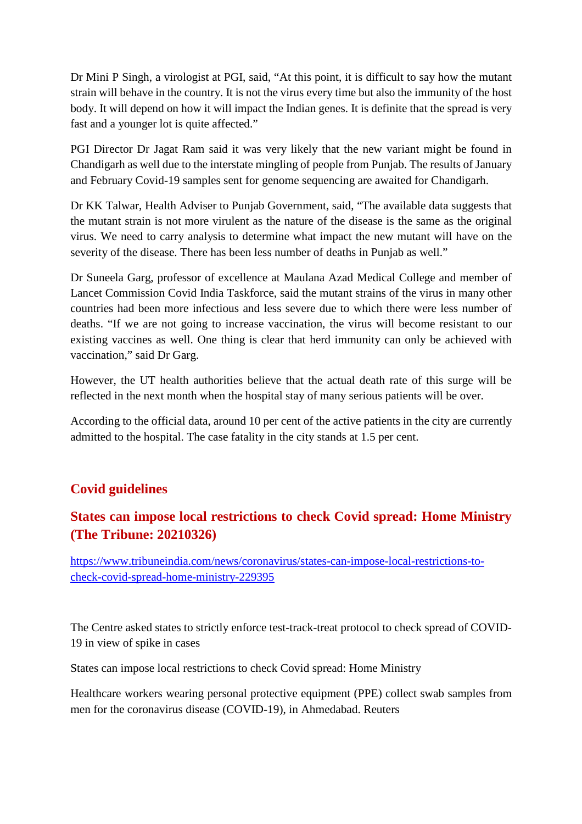Dr Mini P Singh, a virologist at PGI, said, "At this point, it is difficult to say how the mutant strain will behave in the country. It is not the virus every time but also the immunity of the host body. It will depend on how it will impact the Indian genes. It is definite that the spread is very fast and a younger lot is quite affected."

PGI Director Dr Jagat Ram said it was very likely that the new variant might be found in Chandigarh as well due to the interstate mingling of people from Punjab. The results of January and February Covid-19 samples sent for genome sequencing are awaited for Chandigarh.

Dr KK Talwar, Health Adviser to Punjab Government, said, "The available data suggests that the mutant strain is not more virulent as the nature of the disease is the same as the original virus. We need to carry analysis to determine what impact the new mutant will have on the severity of the disease. There has been less number of deaths in Punjab as well."

Dr Suneela Garg, professor of excellence at Maulana Azad Medical College and member of Lancet Commission Covid India Taskforce, said the mutant strains of the virus in many other countries had been more infectious and less severe due to which there were less number of deaths. "If we are not going to increase vaccination, the virus will become resistant to our existing vaccines as well. One thing is clear that herd immunity can only be achieved with vaccination," said Dr Garg.

However, the UT health authorities believe that the actual death rate of this surge will be reflected in the next month when the hospital stay of many serious patients will be over.

According to the official data, around 10 per cent of the active patients in the city are currently admitted to the hospital. The case fatality in the city stands at 1.5 per cent.

#### **Covid guidelines**

#### **States can impose local restrictions to check Covid spread: Home Ministry (The Tribune: 20210326)**

https://www.tribuneindia.com/news/coronavirus/states-can-impose-local-restrictions-tocheck-covid-spread-home-ministry-229395

The Centre asked states to strictly enforce test-track-treat protocol to check spread of COVID-19 in view of spike in cases

States can impose local restrictions to check Covid spread: Home Ministry

Healthcare workers wearing personal protective equipment (PPE) collect swab samples from men for the coronavirus disease (COVID-19), in Ahmedabad. Reuters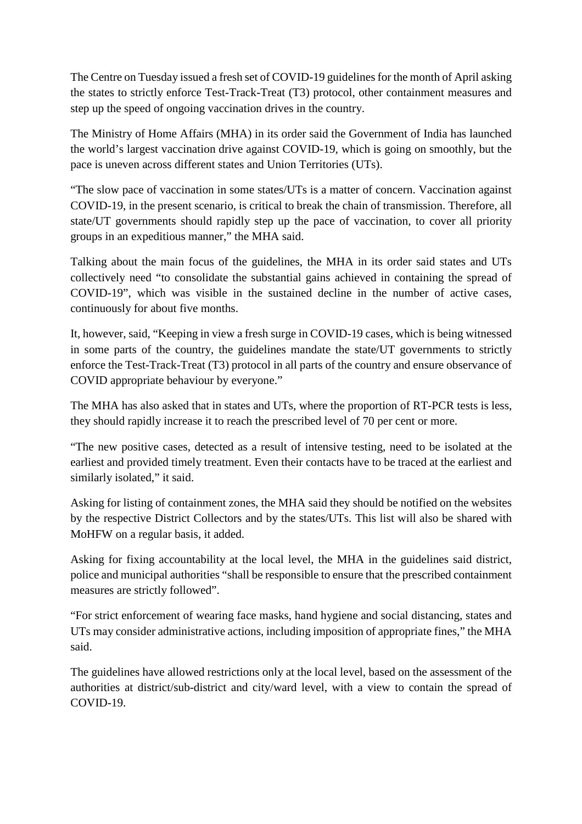The Centre on Tuesday issued a fresh set of COVID-19 guidelines for the month of April asking the states to strictly enforce Test-Track-Treat (T3) protocol, other containment measures and step up the speed of ongoing vaccination drives in the country.

The Ministry of Home Affairs (MHA) in its order said the Government of India has launched the world's largest vaccination drive against COVID-19, which is going on smoothly, but the pace is uneven across different states and Union Territories (UTs).

"The slow pace of vaccination in some states/UTs is a matter of concern. Vaccination against COVID-19, in the present scenario, is critical to break the chain of transmission. Therefore, all state/UT governments should rapidly step up the pace of vaccination, to cover all priority groups in an expeditious manner," the MHA said.

Talking about the main focus of the guidelines, the MHA in its order said states and UTs collectively need "to consolidate the substantial gains achieved in containing the spread of COVID-19", which was visible in the sustained decline in the number of active cases, continuously for about five months.

It, however, said, "Keeping in view a fresh surge in COVID-19 cases, which is being witnessed in some parts of the country, the guidelines mandate the state/UT governments to strictly enforce the Test-Track-Treat (T3) protocol in all parts of the country and ensure observance of COVID appropriate behaviour by everyone."

The MHA has also asked that in states and UTs, where the proportion of RT-PCR tests is less, they should rapidly increase it to reach the prescribed level of 70 per cent or more.

"The new positive cases, detected as a result of intensive testing, need to be isolated at the earliest and provided timely treatment. Even their contacts have to be traced at the earliest and similarly isolated," it said.

Asking for listing of containment zones, the MHA said they should be notified on the websites by the respective District Collectors and by the states/UTs. This list will also be shared with MoHFW on a regular basis, it added.

Asking for fixing accountability at the local level, the MHA in the guidelines said district, police and municipal authorities "shall be responsible to ensure that the prescribed containment measures are strictly followed".

"For strict enforcement of wearing face masks, hand hygiene and social distancing, states and UTs may consider administrative actions, including imposition of appropriate fines," the MHA said.

The guidelines have allowed restrictions only at the local level, based on the assessment of the authorities at district/sub-district and city/ward level, with a view to contain the spread of COVID-19.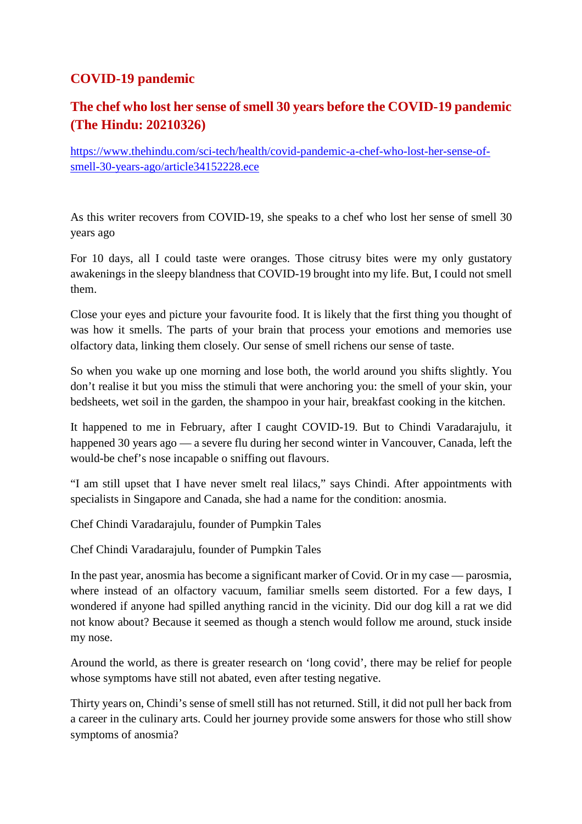#### **COVID-19 pandemic**

#### **The chef who lost her sense of smell 30 years before the COVID-19 pandemic (The Hindu: 20210326)**

https://www.thehindu.com/sci-tech/health/covid-pandemic-a-chef-who-lost-her-sense-ofsmell-30-years-ago/article34152228.ece

As this writer recovers from COVID-19, she speaks to a chef who lost her sense of smell 30 years ago

For 10 days, all I could taste were oranges. Those citrusy bites were my only gustatory awakenings in the sleepy blandness that COVID-19 brought into my life. But, I could not smell them.

Close your eyes and picture your favourite food. It is likely that the first thing you thought of was how it smells. The parts of your brain that process your emotions and memories use olfactory data, linking them closely. Our sense of smell richens our sense of taste.

So when you wake up one morning and lose both, the world around you shifts slightly. You don't realise it but you miss the stimuli that were anchoring you: the smell of your skin, your bedsheets, wet soil in the garden, the shampoo in your hair, breakfast cooking in the kitchen.

It happened to me in February, after I caught COVID-19. But to Chindi Varadarajulu, it happened 30 years ago — a severe flu during her second winter in Vancouver, Canada, left the would-be chef's nose incapable o sniffing out flavours.

"I am still upset that I have never smelt real lilacs," says Chindi. After appointments with specialists in Singapore and Canada, she had a name for the condition: anosmia.

Chef Chindi Varadarajulu, founder of Pumpkin Tales

Chef Chindi Varadarajulu, founder of Pumpkin Tales

In the past year, anosmia has become a significant marker of Covid. Or in my case — parosmia, where instead of an olfactory vacuum, familiar smells seem distorted. For a few days, I wondered if anyone had spilled anything rancid in the vicinity. Did our dog kill a rat we did not know about? Because it seemed as though a stench would follow me around, stuck inside my nose.

Around the world, as there is greater research on 'long covid', there may be relief for people whose symptoms have still not abated, even after testing negative.

Thirty years on, Chindi's sense of smell still has not returned. Still, it did not pull her back from a career in the culinary arts. Could her journey provide some answers for those who still show symptoms of anosmia?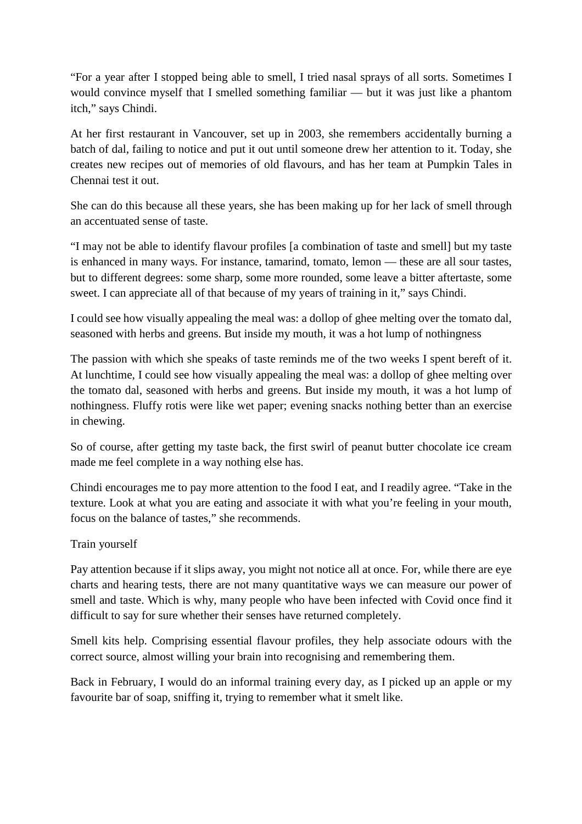"For a year after I stopped being able to smell, I tried nasal sprays of all sorts. Sometimes I would convince myself that I smelled something familiar — but it was just like a phantom itch," says Chindi.

At her first restaurant in Vancouver, set up in 2003, she remembers accidentally burning a batch of dal, failing to notice and put it out until someone drew her attention to it. Today, she creates new recipes out of memories of old flavours, and has her team at Pumpkin Tales in Chennai test it out.

She can do this because all these years, she has been making up for her lack of smell through an accentuated sense of taste.

"I may not be able to identify flavour profiles [a combination of taste and smell] but my taste is enhanced in many ways. For instance, tamarind, tomato, lemon — these are all sour tastes, but to different degrees: some sharp, some more rounded, some leave a bitter aftertaste, some sweet. I can appreciate all of that because of my years of training in it," says Chindi.

I could see how visually appealing the meal was: a dollop of ghee melting over the tomato dal, seasoned with herbs and greens. But inside my mouth, it was a hot lump of nothingness

The passion with which she speaks of taste reminds me of the two weeks I spent bereft of it. At lunchtime, I could see how visually appealing the meal was: a dollop of ghee melting over the tomato dal, seasoned with herbs and greens. But inside my mouth, it was a hot lump of nothingness. Fluffy rotis were like wet paper; evening snacks nothing better than an exercise in chewing.

So of course, after getting my taste back, the first swirl of peanut butter chocolate ice cream made me feel complete in a way nothing else has.

Chindi encourages me to pay more attention to the food I eat, and I readily agree. "Take in the texture. Look at what you are eating and associate it with what you're feeling in your mouth, focus on the balance of tastes," she recommends.

#### Train yourself

Pay attention because if it slips away, you might not notice all at once. For, while there are eye charts and hearing tests, there are not many quantitative ways we can measure our power of smell and taste. Which is why, many people who have been infected with Covid once find it difficult to say for sure whether their senses have returned completely.

Smell kits help. Comprising essential flavour profiles, they help associate odours with the correct source, almost willing your brain into recognising and remembering them.

Back in February, I would do an informal training every day, as I picked up an apple or my favourite bar of soap, sniffing it, trying to remember what it smelt like.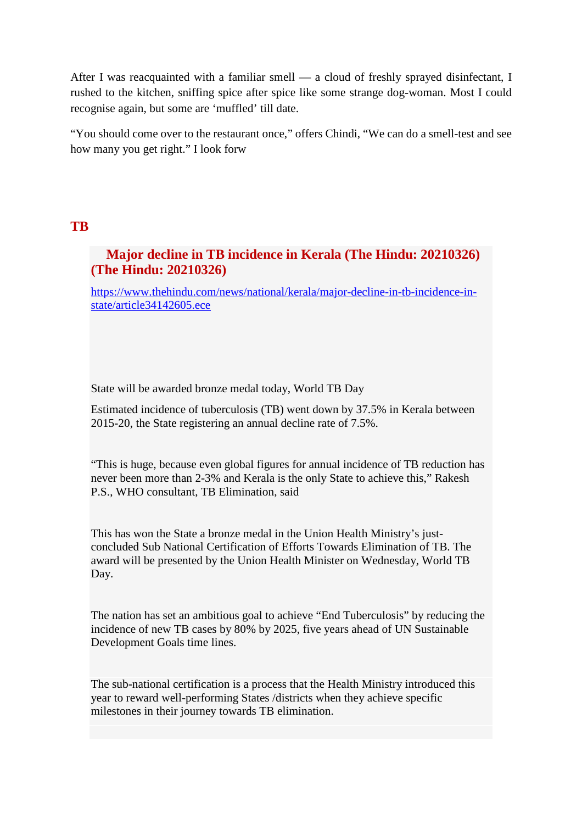After I was reacquainted with a familiar smell — a cloud of freshly sprayed disinfectant, I rushed to the kitchen, sniffing spice after spice like some strange dog-woman. Most I could recognise again, but some are 'muffled' till date.

"You should come over to the restaurant once," offers Chindi, "We can do a smell-test and see how many you get right." I look forw

#### **TB**

#### **Major decline in TB incidence in Kerala (The Hindu: 20210326) (The Hindu: 20210326)**

https://www.thehindu.com/news/national/kerala/major-decline-in-tb-incidence-instate/article34142605.ece

State will be awarded bronze medal today, World TB Day

Estimated incidence of tuberculosis (TB) went down by 37.5% in Kerala between 2015-20, the State registering an annual decline rate of 7.5%.

"This is huge, because even global figures for annual incidence of TB reduction has never been more than 2-3% and Kerala is the only State to achieve this," Rakesh P.S., WHO consultant, TB Elimination, said

This has won the State a bronze medal in the Union Health Ministry's justconcluded Sub National Certification of Efforts Towards Elimination of TB. The award will be presented by the Union Health Minister on Wednesday, World TB Day.

The nation has set an ambitious goal to achieve "End Tuberculosis" by reducing the incidence of new TB cases by 80% by 2025, five years ahead of UN Sustainable Development Goals time lines.

The sub-national certification is a process that the Health Ministry introduced this year to reward well-performing States /districts when they achieve specific milestones in their journey towards TB elimination.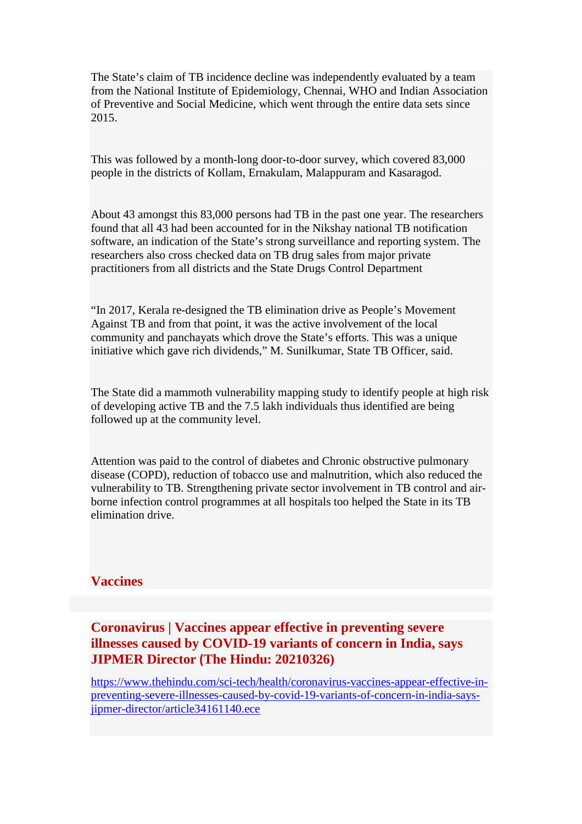The State's claim of TB incidence decline was independently evaluated by a team from the National Institute of Epidemiology, Chennai, WHO and Indian Association of Preventive and Social Medicine, which went through the entire data sets since 2015.

This was followed by a month-long door-to-door survey, which covered 83,000 people in the districts of Kollam, Ernakulam, Malappuram and Kasaragod.

About 43 amongst this 83,000 persons had TB in the past one year. The researchers found that all 43 had been accounted for in the Nikshay national TB notification software, an indication of the State's strong surveillance and reporting system. The researchers also cross checked data on TB drug sales from major private practitioners from all districts and the State Drugs Control Department

"In 2017, Kerala re-designed the TB elimination drive as People's Movement Against TB and from that point, it was the active involvement of the local community and panchayats which drove the State's efforts. This was a unique initiative which gave rich dividends," M. Sunilkumar, State TB Officer, said.

The State did a mammoth vulnerability mapping study to identify people at high risk of developing active TB and the 7.5 lakh individuals thus identified are being followed up at the community level.

Attention was paid to the control of diabetes and Chronic obstructive pulmonary disease (COPD), reduction of tobacco use and malnutrition, which also reduced the vulnerability to TB. Strengthening private sector involvement in TB control and airborne infection control programmes at all hospitals too helped the State in its TB elimination drive.

#### **Vaccines**

#### **Coronavirus | Vaccines appear effective in preventing severe illnesses caused by COVID-19 variants of concern in India, says JIPMER Director (The Hindu: 20210326)**

https://www.thehindu.com/sci-tech/health/coronavirus-vaccines-appear-effective-inpreventing-severe-illnesses-caused-by-covid-19-variants-of-concern-in-india-saysjipmer-director/article34161140.ece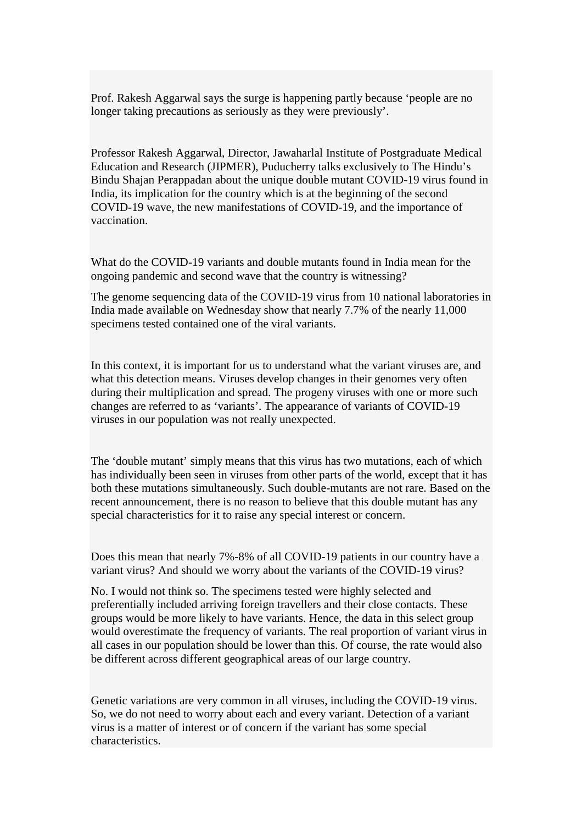Prof. Rakesh Aggarwal says the surge is happening partly because 'people are no longer taking precautions as seriously as they were previously'.

Professor Rakesh Aggarwal, Director, Jawaharlal Institute of Postgraduate Medical Education and Research (JIPMER), Puducherry talks exclusively to The Hindu's Bindu Shajan Perappadan about the unique double mutant COVID-19 virus found in India, its implication for the country which is at the beginning of the second COVID-19 wave, the new manifestations of COVID-19, and the importance of vaccination.

What do the COVID-19 variants and double mutants found in India mean for the ongoing pandemic and second wave that the country is witnessing?

The genome sequencing data of the COVID-19 virus from 10 national laboratories in India made available on Wednesday show that nearly 7.7% of the nearly 11,000 specimens tested contained one of the viral variants.

In this context, it is important for us to understand what the variant viruses are, and what this detection means. Viruses develop changes in their genomes very often during their multiplication and spread. The progeny viruses with one or more such changes are referred to as 'variants'. The appearance of variants of COVID-19 viruses in our population was not really unexpected.

The 'double mutant' simply means that this virus has two mutations, each of which has individually been seen in viruses from other parts of the world, except that it has both these mutations simultaneously. Such double-mutants are not rare. Based on the recent announcement, there is no reason to believe that this double mutant has any special characteristics for it to raise any special interest or concern.

Does this mean that nearly 7%-8% of all COVID-19 patients in our country have a variant virus? And should we worry about the variants of the COVID-19 virus?

No. I would not think so. The specimens tested were highly selected and preferentially included arriving foreign travellers and their close contacts. These groups would be more likely to have variants. Hence, the data in this select group would overestimate the frequency of variants. The real proportion of variant virus in all cases in our population should be lower than this. Of course, the rate would also be different across different geographical areas of our large country.

Genetic variations are very common in all viruses, including the COVID-19 virus. So, we do not need to worry about each and every variant. Detection of a variant virus is a matter of interest or of concern if the variant has some special characteristics.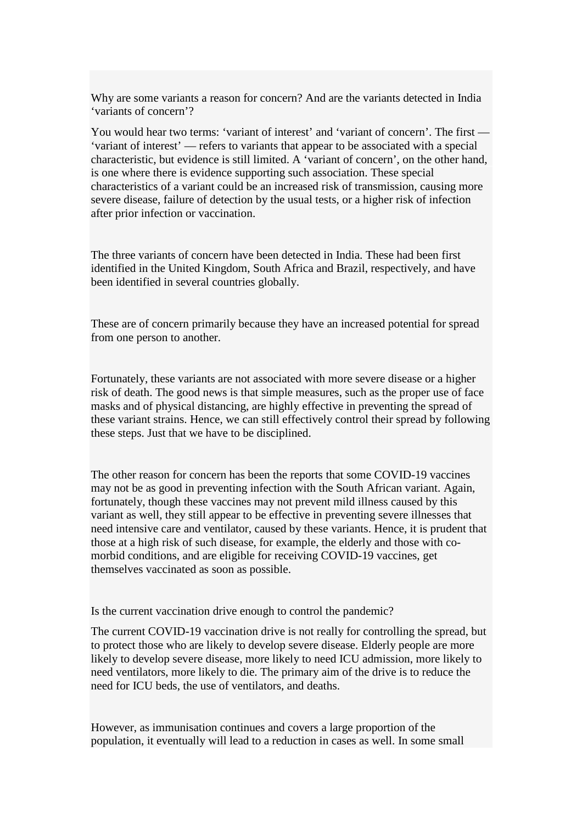Why are some variants a reason for concern? And are the variants detected in India 'variants of concern'?

You would hear two terms: 'variant of interest' and 'variant of concern'. The first — 'variant of interest' — refers to variants that appear to be associated with a special characteristic, but evidence is still limited. A 'variant of concern', on the other hand, is one where there is evidence supporting such association. These special characteristics of a variant could be an increased risk of transmission, causing more severe disease, failure of detection by the usual tests, or a higher risk of infection after prior infection or vaccination.

The three variants of concern have been detected in India. These had been first identified in the United Kingdom, South Africa and Brazil, respectively, and have been identified in several countries globally.

These are of concern primarily because they have an increased potential for spread from one person to another.

Fortunately, these variants are not associated with more severe disease or a higher risk of death. The good news is that simple measures, such as the proper use of face masks and of physical distancing, are highly effective in preventing the spread of these variant strains. Hence, we can still effectively control their spread by following these steps. Just that we have to be disciplined.

The other reason for concern has been the reports that some COVID-19 vaccines may not be as good in preventing infection with the South African variant. Again, fortunately, though these vaccines may not prevent mild illness caused by this variant as well, they still appear to be effective in preventing severe illnesses that need intensive care and ventilator, caused by these variants. Hence, it is prudent that those at a high risk of such disease, for example, the elderly and those with comorbid conditions, and are eligible for receiving COVID-19 vaccines, get themselves vaccinated as soon as possible.

Is the current vaccination drive enough to control the pandemic?

The current COVID-19 vaccination drive is not really for controlling the spread, but to protect those who are likely to develop severe disease. Elderly people are more likely to develop severe disease, more likely to need ICU admission, more likely to need ventilators, more likely to die. The primary aim of the drive is to reduce the need for ICU beds, the use of ventilators, and deaths.

However, as immunisation continues and covers a large proportion of the population, it eventually will lead to a reduction in cases as well. In some small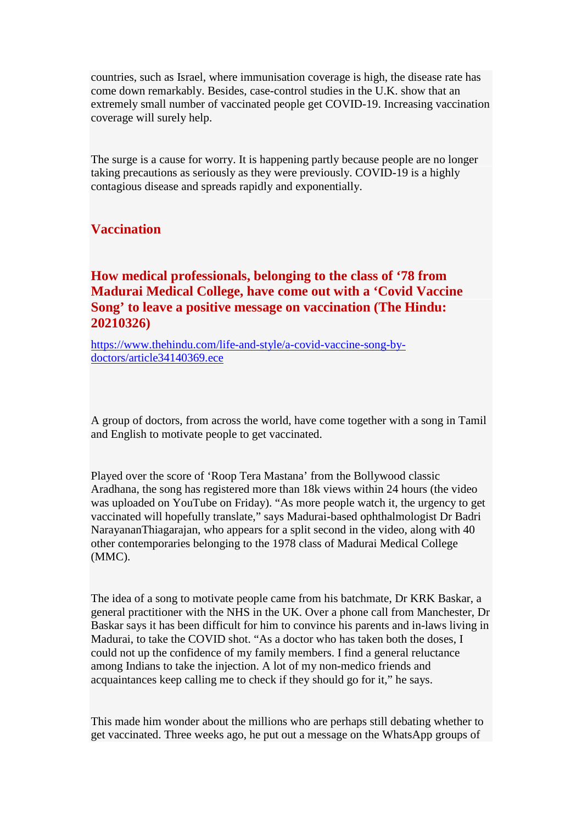countries, such as Israel, where immunisation coverage is high, the disease rate has come down remarkably. Besides, case-control studies in the U.K. show that an extremely small number of vaccinated people get COVID-19. Increasing vaccination coverage will surely help.

The surge is a cause for worry. It is happening partly because people are no longer taking precautions as seriously as they were previously. COVID-19 is a highly contagious disease and spreads rapidly and exponentially.

#### **Vaccination**

**How medical professionals, belonging to the class of '78 from Madurai Medical College, have come out with a 'Covid Vaccine Song' to leave a positive message on vaccination (The Hindu: 20210326)**

https://www.thehindu.com/life-and-style/a-covid-vaccine-song-bydoctors/article34140369.ece

A group of doctors, from across the world, have come together with a song in Tamil and English to motivate people to get vaccinated.

Played over the score of 'Roop Tera Mastana' from the Bollywood classic Aradhana, the song has registered more than 18k views within 24 hours (the video was uploaded on YouTube on Friday). "As more people watch it, the urgency to get vaccinated will hopefully translate," says Madurai-based ophthalmologist Dr Badri NarayananThiagarajan, who appears for a split second in the video, along with 40 other contemporaries belonging to the 1978 class of Madurai Medical College (MMC).

The idea of a song to motivate people came from his batchmate, Dr KRK Baskar, a general practitioner with the NHS in the UK. Over a phone call from Manchester, Dr Baskar says it has been difficult for him to convince his parents and in-laws living in Madurai, to take the COVID shot. "As a doctor who has taken both the doses, I could not up the confidence of my family members. I find a general reluctance among Indians to take the injection. A lot of my non-medico friends and acquaintances keep calling me to check if they should go for it," he says.

This made him wonder about the millions who are perhaps still debating whether to get vaccinated. Three weeks ago, he put out a message on the WhatsApp groups of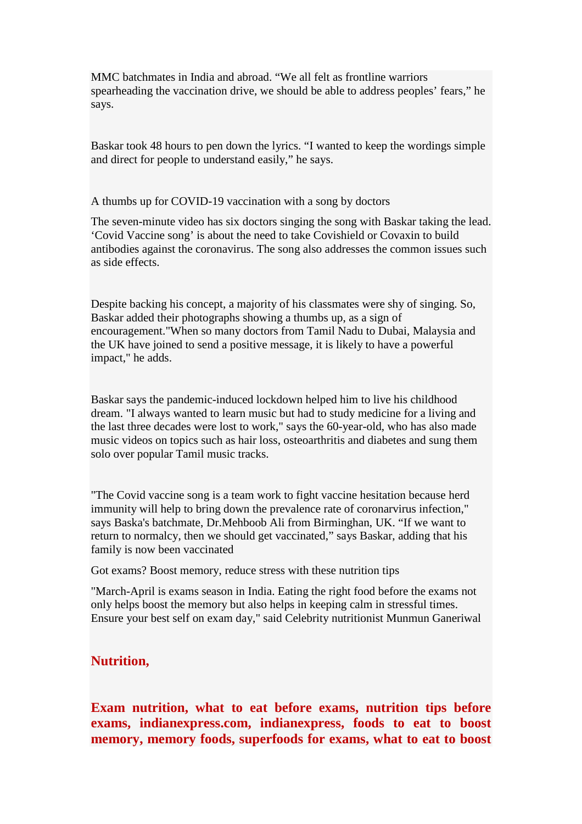MMC batchmates in India and abroad. "We all felt as frontline warriors spearheading the vaccination drive, we should be able to address peoples' fears," he says.

Baskar took 48 hours to pen down the lyrics. "I wanted to keep the wordings simple and direct for people to understand easily," he says.

A thumbs up for COVID-19 vaccination with a song by doctors

The seven-minute video has six doctors singing the song with Baskar taking the lead. 'Covid Vaccine song' is about the need to take Covishield or Covaxin to build antibodies against the coronavirus. The song also addresses the common issues such as side effects.

Despite backing his concept, a majority of his classmates were shy of singing. So, Baskar added their photographs showing a thumbs up, as a sign of encouragement."When so many doctors from Tamil Nadu to Dubai, Malaysia and the UK have joined to send a positive message, it is likely to have a powerful impact," he adds.

Baskar says the pandemic-induced lockdown helped him to live his childhood dream. "I always wanted to learn music but had to study medicine for a living and the last three decades were lost to work," says the 60-year-old, who has also made music videos on topics such as hair loss, osteoarthritis and diabetes and sung them solo over popular Tamil music tracks.

"The Covid vaccine song is a team work to fight vaccine hesitation because herd immunity will help to bring down the prevalence rate of coronarvirus infection," says Baska's batchmate, Dr.Mehboob Ali from Birminghan, UK. "If we want to return to normalcy, then we should get vaccinated," says Baskar, adding that his family is now been vaccinated

Got exams? Boost memory, reduce stress with these nutrition tips

"March-April is exams season in India. Eating the right food before the exams not only helps boost the memory but also helps in keeping calm in stressful times. Ensure your best self on exam day," said Celebrity nutritionist Munmun Ganeriwal

#### **Nutrition,**

**Exam nutrition, what to eat before exams, nutrition tips before exams, indianexpress.com, indianexpress, foods to eat to boost memory, memory foods, superfoods for exams, what to eat to boost**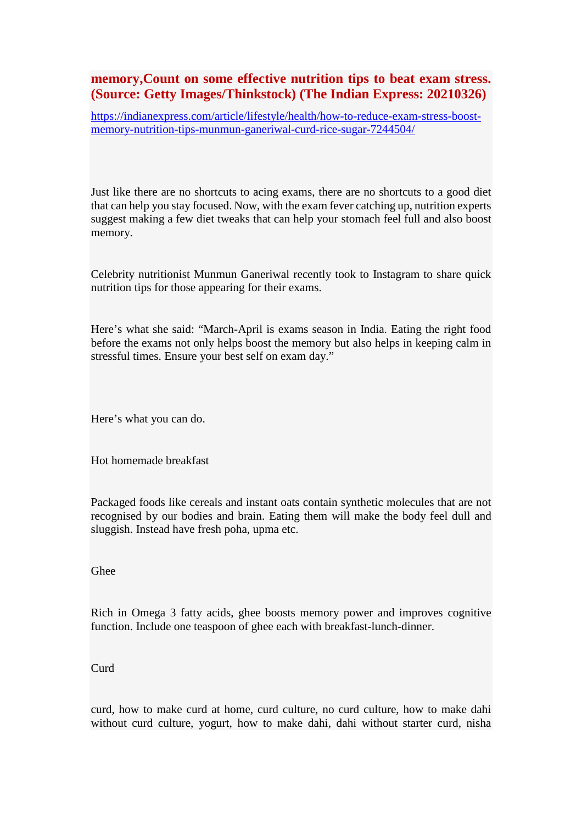#### **memory,Count on some effective nutrition tips to beat exam stress. (Source: Getty Images/Thinkstock) (The Indian Express: 20210326)**

https://indianexpress.com/article/lifestyle/health/how-to-reduce-exam-stress-boostmemory-nutrition-tips-munmun-ganeriwal-curd-rice-sugar-7244504/

Just like there are no shortcuts to acing exams, there are no shortcuts to a good diet that can help you stay focused. Now, with the exam fever catching up, nutrition experts suggest making a few diet tweaks that can help your stomach feel full and also boost memory.

Celebrity nutritionist Munmun Ganeriwal recently took to Instagram to share quick nutrition tips for those appearing for their exams.

Here's what she said: "March-April is exams season in India. Eating the right food before the exams not only helps boost the memory but also helps in keeping calm in stressful times. Ensure your best self on exam day."

Here's what you can do.

Hot homemade breakfast

Packaged foods like cereals and instant oats contain synthetic molecules that are not recognised by our bodies and brain. Eating them will make the body feel dull and sluggish. Instead have fresh poha, upma etc.

Ghee

Rich in Omega 3 fatty acids, ghee boosts memory power and improves cognitive function. Include one teaspoon of ghee each with breakfast-lunch-dinner.

Curd

curd, how to make curd at home, curd culture, no curd culture, how to make dahi without curd culture, yogurt, how to make dahi, dahi without starter curd, nisha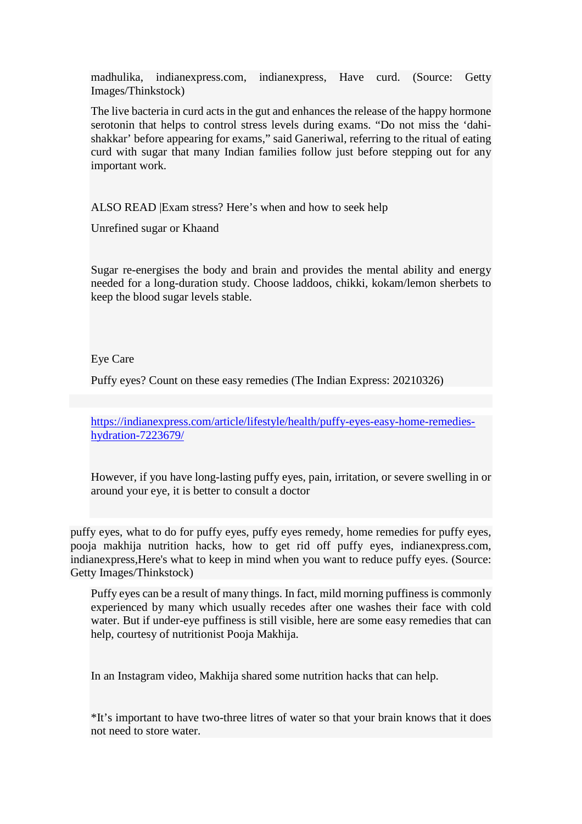madhulika, indianexpress.com, indianexpress, Have curd. (Source: Getty Images/Thinkstock)

The live bacteria in curd acts in the gut and enhances the release of the happy hormone serotonin that helps to control stress levels during exams. "Do not miss the 'dahishakkar' before appearing for exams," said Ganeriwal, referring to the ritual of eating curd with sugar that many Indian families follow just before stepping out for any important work.

ALSO READ |Exam stress? Here's when and how to seek help

Unrefined sugar or Khaand

Sugar re-energises the body and brain and provides the mental ability and energy needed for a long-duration study. Choose laddoos, chikki, kokam/lemon sherbets to keep the blood sugar levels stable.

#### Eye Care

Puffy eyes? Count on these easy remedies (The Indian Express: 20210326)

https://indianexpress.com/article/lifestyle/health/puffy-eyes-easy-home-remedieshydration-7223679/

However, if you have long-lasting puffy eyes, pain, irritation, or severe swelling in or around your eye, it is better to consult a doctor

puffy eyes, what to do for puffy eyes, puffy eyes remedy, home remedies for puffy eyes, pooja makhija nutrition hacks, how to get rid off puffy eyes, indianexpress.com, indianexpress,Here's what to keep in mind when you want to reduce puffy eyes. (Source: Getty Images/Thinkstock)

Puffy eyes can be a result of many things. In fact, mild morning puffiness is commonly experienced by many which usually recedes after one washes their face with cold water. But if under-eye puffiness is still visible, here are some easy remedies that can help, courtesy of nutritionist Pooja Makhija.

In an Instagram video, Makhija shared some nutrition hacks that can help.

\*It's important to have two-three litres of water so that your brain knows that it does not need to store water.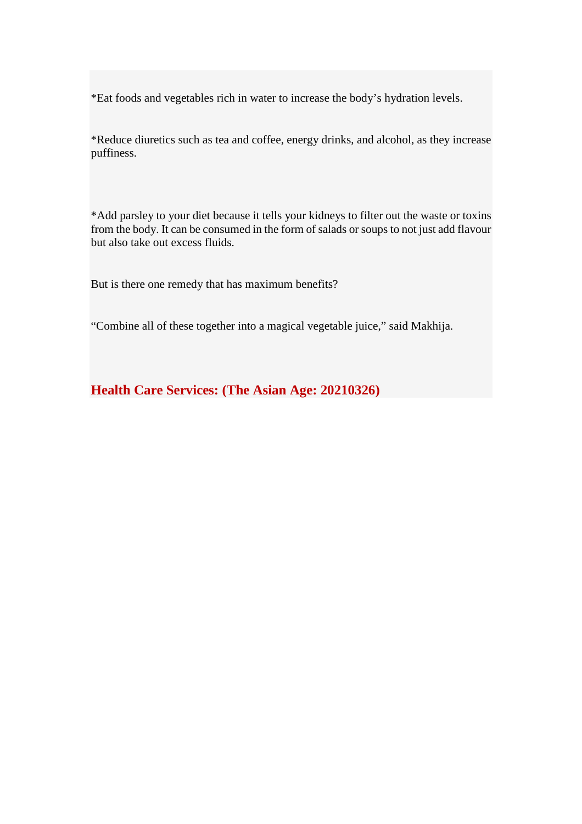\*Eat foods and vegetables rich in water to increase the body's hydration levels.

\*Reduce diuretics such as tea and coffee, energy drinks, and alcohol, as they increase puffiness.

\*Add parsley to your diet because it tells your kidneys to filter out the waste or toxins from the body. It can be consumed in the form of salads or soups to not just add flavour but also take out excess fluids.

But is there one remedy that has maximum benefits?

"Combine all of these together into a magical vegetable juice," said Makhija.

**Health Care Services: (The Asian Age: 20210326)**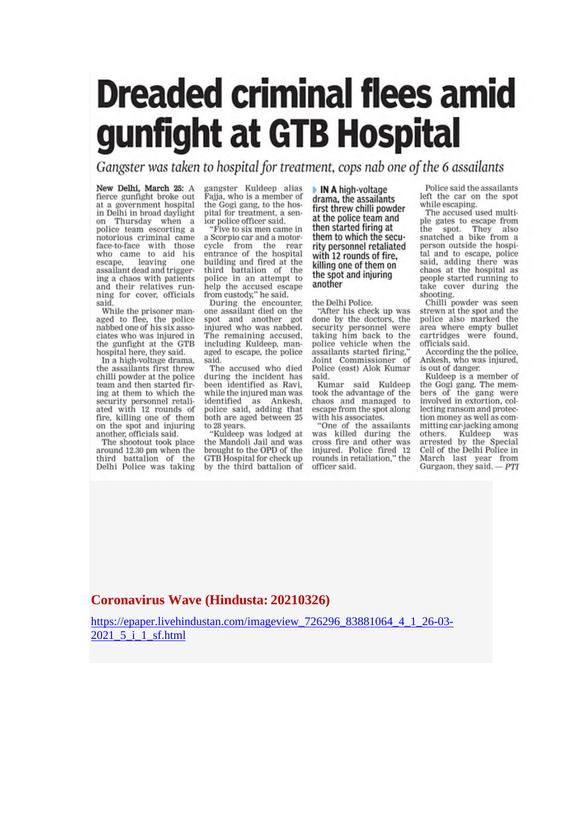# **Dreaded criminal flees amid** gunfight at GTB Hospital

Gangster was taken to hospital for treatment, cops nab one of the 6 assailants

New Delhi, March 25: A fierce gunfight broke out at a government hospital in Delhi in broad daylight on Thursday when a police team escorting a notorious criminal came face-to-face with those<br>who came to aid his leaving escape, one assailant dead and triggering a chaos with patients and their relatives running for cover, officials said

While the prisoner managed to flee, the police<br>nabbed one of his six associates who was injured in the gunfight at the GTB hospital here, they said.

In a high-voltage drama. the assailants first threw chilli powder at the police team and then started firing at them to which the security personnel retaliated with 12 rounds of fire, killing one of them<br>on the spot and injuring another, officials said.

The shootout took place around 12.30 pm when the third battalion of the Delhi Police was taking gangster Kuldeep alias<br>Fajja, who is a member of the Gogi gang, to the hospital for treatment, a senior police officer said.

"Five to six men came in a Scorpio car and a motorcycle from the rear<br>entrance of the hospital<br>building and fired at the third battalion of the police in an attempt to help the accused escape from custody," he said.

During the encounter,<br>one assailant died on the spot and another got<br>injured who was nabbed. The remaining accused. including Kuldeep, managed to escape, the police said.

The accused who died during the incident has been identified as Ravi, while the injured man was identified as Ankesh, police said, adding that both are aged between 25 to 28 years.

"Kuldeep was lodged at the Mandoli Jail and was brought to the OPD of the GTB Hospital for check up by the third battalion of

IN A high-voltage drama, the assailants first threw chilli powder at the police team and then started firing at them to which the security personnel retaliated with 12 rounds of fire. killing one of them on the spot and injuring another

the Delhi Police.

"After his check up was done by the doctors, the security personnel were taking him back to the<br>police vehicle when the assailants started firing.' Joint Commissioner of Police (east) Alok Kumar hiss.

Kumar said Kuldeep took the advantage of the chaos and managed to escape from the spot along with his associates.

"One of the assailants was killed during the<br>cross fire and other was injured. Police fired 12 rounds in retaliation," the officer said.

Police said the assailants<br>left the car on the spot while escaping.

The accused used multi-The accused used in<br>the spot. They also<br>snatched a bike from a<br>person outside the hospital and to escape, police said, adding there was<br>chaos at the hospital as people started running to take cover during the shooting.

Chilli powder was seen strewn at the spot and the police also marked the area where empty bullet cartridges were found, officials said.

According the the police, Ankesh, who was injured. is out of danger.

Kuldeep is a member of the Gogi gang. The members of the gang were involved in extortion, collecting ransom and protection money as well as committing car-jacking among others. Kuldeep was<br>arrested by the Special Cell of the Delhi Police in March last year from<br>Gurgaon, they said. — PTI

#### **Coronavirus Wave (Hindusta: 20210326)**

https://epaper.livehindustan.com/imageview\_726296\_83881064\_4\_1\_26-03- 2021\_5\_i\_1\_sf.html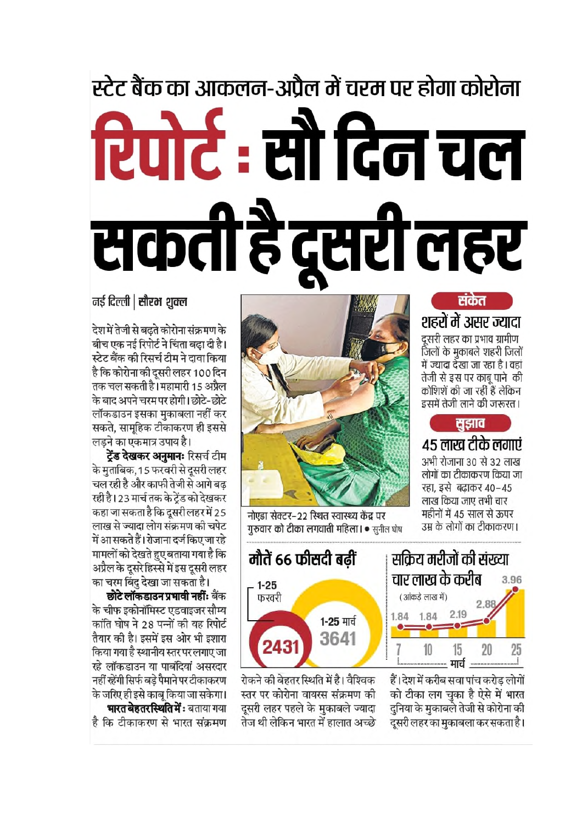# स्टेट बैंक का आकलन-अप्रैल में चरम पर होगा कोरोना रिपोर्ट: सौ दिन चल सकती है दूसरी लहर

#### संकेत शहरों में असर ज्यादा दूसरी लहर का प्रभाव ग्रामीण जिलों के मुकाबले शहरी जिलों में ज्यादा देखा जा रहा है। वहां तेजी से इस पर काबू पाने की कोशिशें की जा रहीं हैं लेकिन इसमें तेजी लाने की जरूरत।

### सझाव

४५ लाख टीके लगाएं अभी रोजाना 30 से 32 लाख लोगों का टीकाकरण किया जा रहा, इसे बढाकर 40-45 लाख किया जाए तभी चार महीनों में 45 साल से ऊपर उम्र के लोगों का टीकाकरण।



नोएडा सेक्टर-22 स्थित स्वास्थ्य केंद्र पर गुरुवार को टीका लगवाती महिला। • सुनील घोष



हैं। देश में करीब सवा पांच करोड लोगों को टीका लग चुका है ऐसे में भारत दुनिया के मुकाबले तेजी से कोरोना की उ<br>दूसरी लहर का मुकाबला कर सकता है।



रोकने की बेहतर स्थिति में है। वैश्विक स्तर पर कोरोना वायरस संक्रमण की दसरी लहर पहले के मकाबले ज्यादा तेज थी लेकिन भारत में हालात अच्छे

#### नई दिल्ली | सौरभ शुक्ल

देश में तेजी से बढ़ते कोरोना संक्रमण के बीच एक नई रिपोर्ट ने चिंता बढा दी है। स्टेट बैंक की रिसर्च टीम ने दावा किया है कि कोरोना की दूसरी लहर 100 दिन तक चल सकती है। महामारी 15 अप्रैल के बाद अपने चरम पर होगी। छोटे-छोटे लॉकडाउन इसका मुकाबला नहीं कर सकते. सामुहिक टीकाकरण ही इससे लडने का एकमात्र उपाय है।

ट्रेंड देखकर अनुमानः रिसर्च टीम के मुताबिक, 15 फरवरी से दूसरी लहर चल रही है और काफी तेजी से आगे बढ रही है। 23 मार्च तक के ट्रेंड को देखकर कहा जा सकता है कि दूसरी लहर में 25 लाख से ज्यादा लोग संक्रमण की चपेट में आ सकते हैं। रोजाना दर्ज किए जा रहे मामलों को देखते हुए बताया गया है कि अप्रैल के दूसरे हिस्से में इस दूसरी लहर का चरम बिंदु देखा जा सकता है।

छोटे लॉकडाउन प्रभावी नहीं: बैंक के चीफ इकोनॉमिस्ट एडवाइजर सौम्य कांति घोष ने 28 पन्नों की यह रिपोर्ट तैयार की है। इसमें इस ओर भी इशारा किया गया है स्थानीय स्तर पर लगाए जा रहे लॉकडाउन या पाबंदियां असरदार नहीं रहेंगी सिर्फ बडे पैमाने पर टीकाकरण के जरिए ही इसे काब किया जा सकेगा। भारत बेहतर स्थिति में: बताया गया है कि टीकाकरण से भारत संक्रमण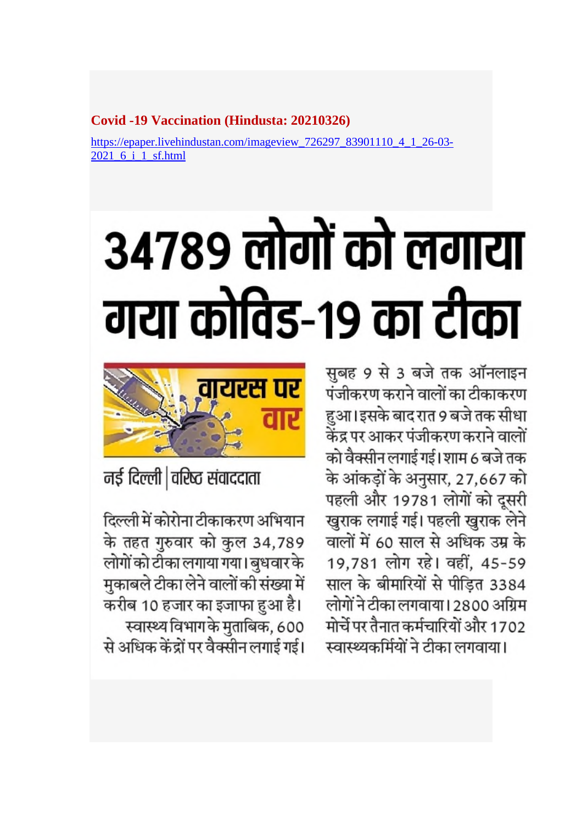#### **Covid -19 Vaccination (Hindusta: 20210326)**

https://epaper.livehindustan.com/imageview\_726297\_83901110\_4\_1\_26-03- 2021 6 i 1 sf.html

# 34789 लोगों को लगाया गया कोविड-१९ का टीका

सुबह 9 से 3 बजे तक ऑनलाइन पंजीकरण कराने वालों का टीकाकरण हुआ।इसके बाद रात 9 बजे तक सीधा केंद्र पर आकर पंजीकरण कराने वालों को वैक्सीन लगाई गई। शाम 6 बजे तक के आंकड़ों के अनुसार, 27,667 को पहली और 19781 लोगों को दूसरी खुराक लगाई गई। पहली खुराक लेने वालों में 60 साल से अधिक उम्र के 19,781 लोग रहे। वहीं, 45-59 साल के बीमारियों से पीड़ित 3384 लोगों ने टीका लगवाया। 2800 अग्रिम मोर्चे पर तैनात कर्मचारियों और 1702 स्वास्थ्यकर्मियों ने टीका लगवाया।



नई दिल्ली |वरिष्ठ संवाददाता

दिल्ली में कोरोना टीकाकरण अभियान के तहत गुरुवार को कुल 34,789 लोगों को टीका लगाया गया। बुधवार के मुकाबले टीका लेने वालों की संख्या में करीब 10 हजार का इजाफा हुआ है। स्वास्थ्य विभाग के मुताबिक, 600 से अधिक केंद्रों पर वैक्सीन लगाई गई।